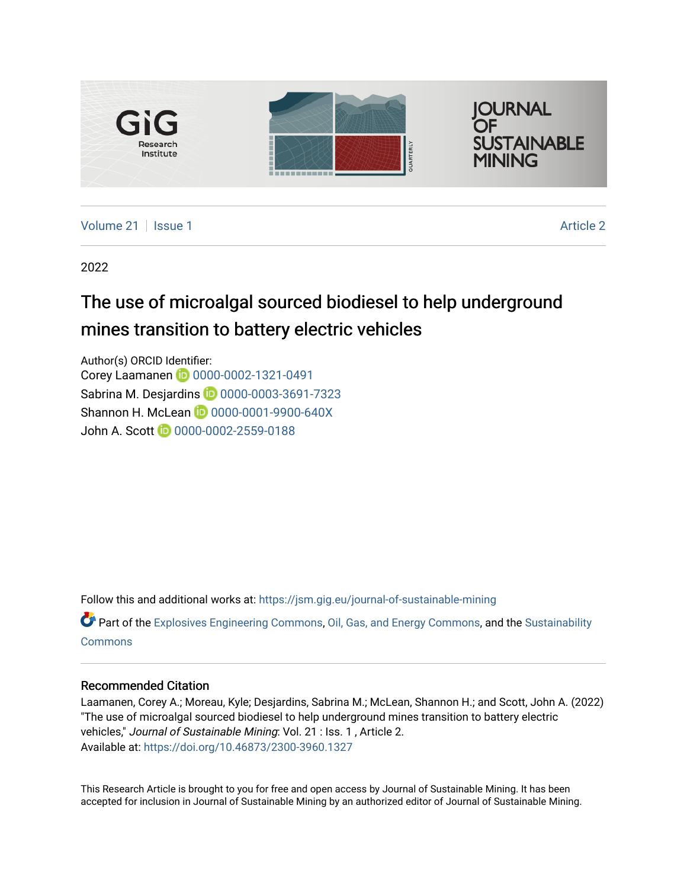

[Volume 21](https://jsm.gig.eu/journal-of-sustainable-mining/vol21) | [Issue 1](https://jsm.gig.eu/journal-of-sustainable-mining/vol21/iss1) [Article 2](https://jsm.gig.eu/journal-of-sustainable-mining/vol21/iss1/2) | Article 2 | Article 2 | Article 2 | Article 2 | Article 2 | Article 2 | Article 2 | Article 2 | Article 2 | Article 2 | Article 2 | Article 2 | Article 2 | Article 2 | Article 2 | Article 2

2022

## The use of microalgal sourced biodiesel to help underground mines transition to battery electric vehicles

Author(s) ORCID Identifier: Corey Laamanen 10 0000-0002-1321-0491 Sabrina M. Desjardins **10** [0000-0003-3691-7323](https://orcid.org/0000-0003-3691-7323) Shannon H. McLean **D** 0000-0001-9900-640X John A. Scott **1** [0000-0002-2559-0188](https://orcid.org/0000-0002-2559-0188)

Follow this and additional works at: [https://jsm.gig.eu/journal-of-sustainable-mining](https://jsm.gig.eu/journal-of-sustainable-mining?utm_source=jsm.gig.eu%2Fjournal-of-sustainable-mining%2Fvol21%2Fiss1%2F2&utm_medium=PDF&utm_campaign=PDFCoverPages) 

Part of the [Explosives Engineering Commons,](https://network.bepress.com/hgg/discipline/1401?utm_source=jsm.gig.eu%2Fjournal-of-sustainable-mining%2Fvol21%2Fiss1%2F2&utm_medium=PDF&utm_campaign=PDFCoverPages) [Oil, Gas, and Energy Commons](https://network.bepress.com/hgg/discipline/171?utm_source=jsm.gig.eu%2Fjournal-of-sustainable-mining%2Fvol21%2Fiss1%2F2&utm_medium=PDF&utm_campaign=PDFCoverPages), and the [Sustainability](https://network.bepress.com/hgg/discipline/1031?utm_source=jsm.gig.eu%2Fjournal-of-sustainable-mining%2Fvol21%2Fiss1%2F2&utm_medium=PDF&utm_campaign=PDFCoverPages)  [Commons](https://network.bepress.com/hgg/discipline/1031?utm_source=jsm.gig.eu%2Fjournal-of-sustainable-mining%2Fvol21%2Fiss1%2F2&utm_medium=PDF&utm_campaign=PDFCoverPages)

## Recommended Citation

Laamanen, Corey A.; Moreau, Kyle; Desjardins, Sabrina M.; McLean, Shannon H.; and Scott, John A. (2022) "The use of microalgal sourced biodiesel to help underground mines transition to battery electric vehicles," Journal of Sustainable Mining: Vol. 21 : Iss. 1 , Article 2. Available at:<https://doi.org/10.46873/2300-3960.1327>

This Research Article is brought to you for free and open access by Journal of Sustainable Mining. It has been accepted for inclusion in Journal of Sustainable Mining by an authorized editor of Journal of Sustainable Mining.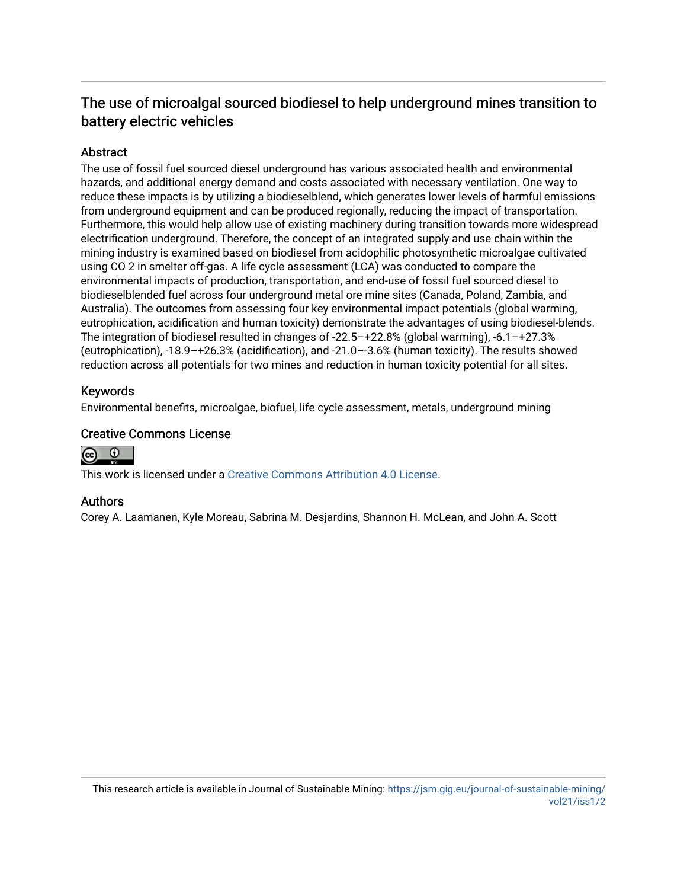## The use of microalgal sourced biodiesel to help underground mines transition to battery electric vehicles

## **Abstract**

The use of fossil fuel sourced diesel underground has various associated health and environmental hazards, and additional energy demand and costs associated with necessary ventilation. One way to reduce these impacts is by utilizing a biodieselblend, which generates lower levels of harmful emissions from underground equipment and can be produced regionally, reducing the impact of transportation. Furthermore, this would help allow use of existing machinery during transition towards more widespread electrification underground. Therefore, the concept of an integrated supply and use chain within the mining industry is examined based on biodiesel from acidophilic photosynthetic microalgae cultivated using CO 2 in smelter off-gas. A life cycle assessment (LCA) was conducted to compare the environmental impacts of production, transportation, and end-use of fossil fuel sourced diesel to biodieselblended fuel across four underground metal ore mine sites (Canada, Poland, Zambia, and Australia). The outcomes from assessing four key environmental impact potentials (global warming, eutrophication, acidification and human toxicity) demonstrate the advantages of using biodiesel-blends. The integration of biodiesel resulted in changes of -22.5–+22.8% (global warming), -6.1–+27.3% (eutrophication), -18.9–+26.3% (acidification), and -21.0–-3.6% (human toxicity). The results showed reduction across all potentials for two mines and reduction in human toxicity potential for all sites.

## Keywords

Environmental benefits, microalgae, biofuel, life cycle assessment, metals, underground mining

## Creative Commons License



This work is licensed under a [Creative Commons Attribution 4.0 License](http://creativecommons.org/licenses/by/4.0/).

## Authors

Corey A. Laamanen, Kyle Moreau, Sabrina M. Desjardins, Shannon H. McLean, and John A. Scott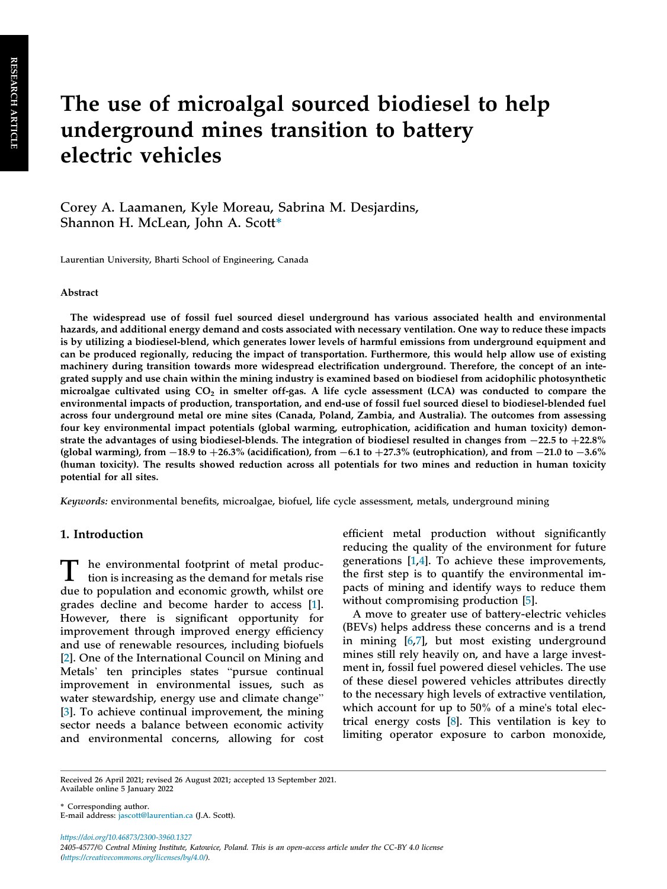# The use of microalgal sourced biodiesel to help underground mines transition to battery electric vehicles

Corey A. Laamanen, Kyle Moreau, Sabrina M. Desjardins, Shannon H. McLean, John A. Scott\*

Laurentian University, Bharti School of Engineering, Canada

#### Abstract

The widespread use of fossil fuel sourced diesel underground has various associated health and environmental hazards, and additional energy demand and costs associated with necessary ventilation. One way to reduce these impacts is by utilizing a biodiesel-blend, which generates lower levels of harmful emissions from underground equipment and can be produced regionally, reducing the impact of transportation. Furthermore, this would help allow use of existing machinery during transition towards more widespread electrification underground. Therefore, the concept of an integrated supply and use chain within the mining industry is examined based on biodiesel from acidophilic photosynthetic microalgae cultivated using  $CO<sub>2</sub>$  in smelter off-gas. A life cycle assessment (LCA) was conducted to compare the environmental impacts of production, transportation, and end-use of fossil fuel sourced diesel to biodiesel-blended fuel across four underground metal ore mine sites (Canada, Poland, Zambia, and Australia). The outcomes from assessing four key environmental impact potentials (global warming, eutrophication, acidification and human toxicity) demonstrate the advantages of using biodiesel-blends. The integration of biodiesel resulted in changes from  $-22.5$  to  $+22.8\%$ (global warming), from  $-18.9$  to  $+26.3\%$  (acidification), from  $-6.1$  to  $+27.3\%$  (eutrophication), and from  $-21.0$  to  $-3.6\%$ (human toxicity). The results showed reduction across all potentials for two mines and reduction in human toxicity potential for all sites.

Keywords: environmental benefits, microalgae, biofuel, life cycle assessment, metals, underground mining

### 1. Introduction

T he environmental footprint of metal production is increasing as the demand for metals rise due to population and economic growth, whilst ore grades decline and become harder to access [\[1](#page-12-0)]. However, there is significant opportunity for improvement through improved energy efficiency and use of renewable resources, including biofuels [\[2](#page-12-0)]. One of the International Council on Mining and and use of renewable resources, including biolueis<br>[2]. One of the International Council on Mining and<br>Metals' ten principles states "pursue continual improvement in environmental issues, such as Metals' ten principles states "pursue continual<br>improvement in environmental issues, such as<br>water stewardship, energy use and climate change" [\[3](#page-12-0)]. To achieve continual improvement, the mining sector needs a balance between economic activity and environmental concerns, allowing for cost efficient metal production without significantly reducing the quality of the environment for future generations [[1,4](#page-12-0)]. To achieve these improvements, the first step is to quantify the environmental impacts of mining and identify ways to reduce them without compromising production [[5\]](#page-12-0).

A move to greater use of battery-electric vehicles (BEVs) helps address these concerns and is a trend in mining [\[6](#page-12-0),[7](#page-12-0)], but most existing underground mines still rely heavily on, and have a large investment in, fossil fuel powered diesel vehicles. The use of these diesel powered vehicles attributes directly to the necessary high levels of extractive ventilation, which account for up to 50% of a mine's total electrical energy costs [\[8](#page-12-0)]. This ventilation is key to limiting operator exposure to carbon monoxide,

\* Corresponding author. E-mail address: jascott@laurentian.ca (J.A. Scott).

https://doi.org/10.46873/2300-3960.1327 2405-4577/© Central Mining Institute, Katowice, Poland. This is an open-access article under the CC-BY 4.0 license (https://creativecommons.org/licenses/by/4.0/).

Received 26 April 2021; revised 26 August 2021; accepted 13 September 2021. Available online 5 January 2022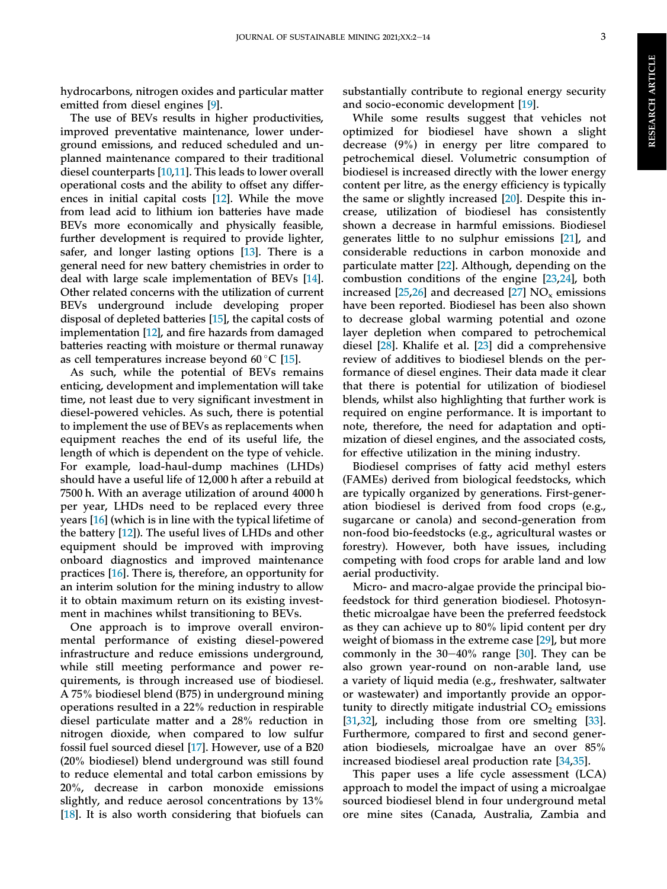hydrocarbons, nitrogen oxides and particular matter emitted from diesel engines [\[9](#page-12-0)].

The use of BEVs results in higher productivities, improved preventative maintenance, lower underground emissions, and reduced scheduled and unplanned maintenance compared to their traditional diesel counterparts [[10,11\]](#page-12-0). This leads to lower overall operational costs and the ability to offset any differences in initial capital costs [[12](#page-12-0)]. While the move from lead acid to lithium ion batteries have made BEVs more economically and physically feasible, further development is required to provide lighter, safer, and longer lasting options [\[13\]](#page-12-0). There is a general need for new battery chemistries in order to deal with large scale implementation of BEVs [[14\]](#page-12-0). Other related concerns with the utilization of current BEVs underground include developing proper disposal of depleted batteries [[15](#page-12-0)], the capital costs of implementation [[12](#page-12-0)], and fire hazards from damaged batteries reacting with moisture or thermal runaway as cell temperatures increase beyond 60 $\degree$ C [\[15](#page-12-0)].

As such, while the potential of BEVs remains enticing, development and implementation will take time, not least due to very significant investment in diesel-powered vehicles. As such, there is potential to implement the use of BEVs as replacements when equipment reaches the end of its useful life, the length of which is dependent on the type of vehicle. For example, load-haul-dump machines (LHDs) should have a useful life of 12,000 h after a rebuild at 7500 h. With an average utilization of around 4000 h per year, LHDs need to be replaced every three years [\[16](#page-12-0)] (which is in line with the typical lifetime of the battery [[12\]](#page-12-0)). The useful lives of LHDs and other equipment should be improved with improving onboard diagnostics and improved maintenance practices [[16\]](#page-12-0). There is, therefore, an opportunity for an interim solution for the mining industry to allow it to obtain maximum return on its existing investment in machines whilst transitioning to BEVs.

One approach is to improve overall environmental performance of existing diesel-powered infrastructure and reduce emissions underground, while still meeting performance and power requirements, is through increased use of biodiesel. A 75% biodiesel blend (B75) in underground mining operations resulted in a 22% reduction in respirable diesel particulate matter and a 28% reduction in nitrogen dioxide, when compared to low sulfur fossil fuel sourced diesel [[17\]](#page-12-0). However, use of a B20 (20% biodiesel) blend underground was still found to reduce elemental and total carbon emissions by 20%, decrease in carbon monoxide emissions slightly, and reduce aerosol concentrations by 13% [\[18](#page-12-0)]. It is also worth considering that biofuels can

substantially contribute to regional energy security and socio-economic development [[19\]](#page-12-0).

While some results suggest that vehicles not optimized for biodiesel have shown a slight decrease (9%) in energy per litre compared to petrochemical diesel. Volumetric consumption of biodiesel is increased directly with the lower energy content per litre, as the energy efficiency is typically the same or slightly increased [\[20](#page-12-0)]. Despite this increase, utilization of biodiesel has consistently shown a decrease in harmful emissions. Biodiesel generates little to no sulphur emissions [[21\]](#page-12-0), and considerable reductions in carbon monoxide and particulate matter [[22](#page-12-0)]. Although, depending on the combustion conditions of the engine [[23,24](#page-12-0)], both increased  $[25,26]$  $[25,26]$  $[25,26]$  and decreased  $[27]$  $[27]$  NO<sub>x</sub> emissions have been reported. Biodiesel has been also shown to decrease global warming potential and ozone layer depletion when compared to petrochemical diesel [[28\]](#page-12-0). Khalife et al. [[23\]](#page-12-0) did a comprehensive review of additives to biodiesel blends on the performance of diesel engines. Their data made it clear that there is potential for utilization of biodiesel blends, whilst also highlighting that further work is required on engine performance. It is important to note, therefore, the need for adaptation and optimization of diesel engines, and the associated costs, for effective utilization in the mining industry.

Biodiesel comprises of fatty acid methyl esters (FAMEs) derived from biological feedstocks, which are typically organized by generations. First-generation biodiesel is derived from food crops (e.g., sugarcane or canola) and second-generation from non-food bio-feedstocks (e.g., agricultural wastes or forestry). However, both have issues, including competing with food crops for arable land and low aerial productivity.

Micro- and macro-algae provide the principal biofeedstock for third generation biodiesel. Photosynthetic microalgae have been the preferred feedstock as they can achieve up to 80% lipid content per dry weight of biomass in the extreme case [\[29](#page-12-0)], but more commonly in the  $30-40\%$  range [[30\]](#page-12-0). They can be also grown year-round on non-arable land, use a variety of liquid media (e.g., freshwater, saltwater or wastewater) and importantly provide an opportunity to directly mitigate industrial  $CO<sub>2</sub>$  emissions [\[31](#page-13-0),[32\]](#page-13-0), including those from ore smelting [[33\]](#page-13-0). Furthermore, compared to first and second generation biodiesels, microalgae have an over 85% increased biodiesel areal production rate [[34](#page-13-0),[35\]](#page-13-0).

This paper uses a life cycle assessment (LCA) approach to model the impact of using a microalgae sourced biodiesel blend in four underground metal ore mine sites (Canada, Australia, Zambia and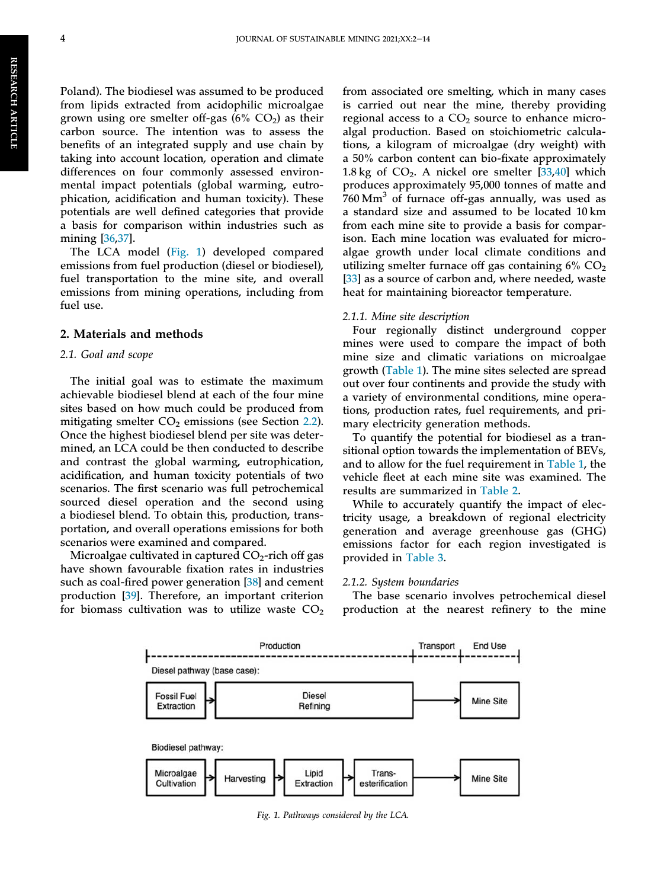Poland). The biodiesel was assumed to be produced from lipids extracted from acidophilic microalgae grown using ore smelter off-gas  $(6\%$  CO<sub>2</sub>) as their carbon source. The intention was to assess the benefits of an integrated supply and use chain by taking into account location, operation and climate differences on four commonly assessed environmental impact potentials (global warming, eutrophication, acidification and human toxicity). These potentials are well defined categories that provide a basis for comparison within industries such as mining [[36,37](#page-13-0)].

The LCA model (Fig. 1) developed compared emissions from fuel production (diesel or biodiesel), fuel transportation to the mine site, and overall emissions from mining operations, including from fuel use.

#### 2. Materials and methods

#### 2.1. Goal and scope

The initial goal was to estimate the maximum achievable biodiesel blend at each of the four mine sites based on how much could be produced from mitigating smelter  $CO<sub>2</sub>$  emissions (see Section [2.2](#page-6-0)). Once the highest biodiesel blend per site was determined, an LCA could be then conducted to describe and contrast the global warming, eutrophication, acidification, and human toxicity potentials of two scenarios. The first scenario was full petrochemical sourced diesel operation and the second using a biodiesel blend. To obtain this, production, transportation, and overall operations emissions for both scenarios were examined and compared.

Microalgae cultivated in captured  $CO<sub>2</sub>$ -rich off gas have shown favourable fixation rates in industries such as coal-fired power generation [[38\]](#page-13-0) and cement production [[39\]](#page-13-0). Therefore, an important criterion for biomass cultivation was to utilize waste  $CO<sub>2</sub>$  from associated ore smelting, which in many cases is carried out near the mine, thereby providing regional access to a  $CO<sub>2</sub>$  source to enhance microalgal production. Based on stoichiometric calculations, a kilogram of microalgae (dry weight) with a 50% carbon content can bio-fixate approximately 1.8 kg of  $CO<sub>2</sub>$ . A nickel ore smelter  $[33,40]$  $[33,40]$  $[33,40]$  which produces approximately 95,000 tonnes of matte and  $760 \text{ Mm}^3$  of furnace off-gas annually, was used as a standard size and assumed to be located 10 km from each mine site to provide a basis for comparison. Each mine location was evaluated for microalgae growth under local climate conditions and utilizing smelter furnace off gas containing  $6\%$  CO<sub>2</sub> [\[33](#page-13-0)] as a source of carbon and, where needed, waste heat for maintaining bioreactor temperature.

#### 2.1.1. Mine site description

Four regionally distinct underground copper mines were used to compare the impact of both mine size and climatic variations on microalgae growth [\(Table 1](#page-5-0)). The mine sites selected are spread out over four continents and provide the study with a variety of environmental conditions, mine operations, production rates, fuel requirements, and primary electricity generation methods.

To quantify the potential for biodiesel as a transitional option towards the implementation of BEVs, and to allow for the fuel requirement in [Table 1,](#page-5-0) the vehicle fleet at each mine site was examined. The results are summarized in [Table 2.](#page-5-0)

While to accurately quantify the impact of electricity usage, a breakdown of regional electricity generation and average greenhouse gas (GHG) emissions factor for each region investigated is provided in [Table 3](#page-5-0).

#### 2.1.2. System boundaries

The base scenario involves petrochemical diesel production at the nearest refinery to the mine



Fig. 1. Pathways considered by the LCA.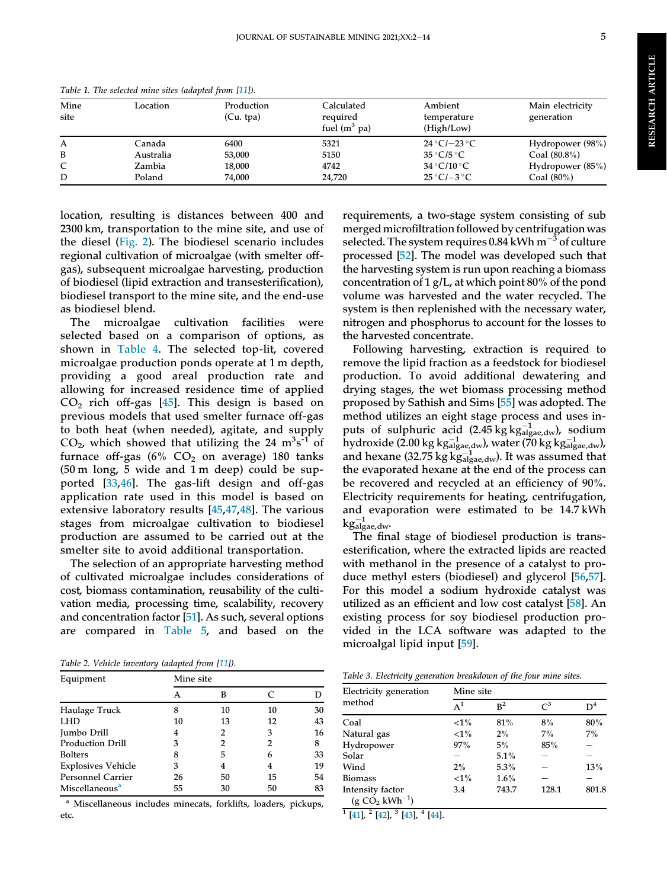**RESEARCH ARTICLE** RESEARCH ARTICLE

<span id="page-5-0"></span>

| Table 1. The selected mine sites (adapted from [11]). |           |                           |                                           |                                      |                                |  |  |
|-------------------------------------------------------|-----------|---------------------------|-------------------------------------------|--------------------------------------|--------------------------------|--|--|
| Mine<br>site                                          | Location  | Production<br>$(Cu.$ tpa) | Calculated<br>required<br>fuel $(m^3$ pa) | Ambient<br>temperature<br>(High/Low) | Main electricity<br>generation |  |  |
| A                                                     | Canada    | 6400                      | 5321                                      | $24^{\circ}$ C/ $-23^{\circ}$ C      | Hydropower (98%)               |  |  |
| B                                                     | Australia | 53,000                    | 5150                                      | $35^{\circ}$ C/5 $^{\circ}$ C        | Coal $(80.8\%)$                |  |  |
| C                                                     | Zambia    | 18,000                    | 4742                                      | $34^{\circ}$ C/10 $^{\circ}$ C       | Hydropower (85%)               |  |  |
| D                                                     | Poland    | 74,000                    | 24,720                                    | $25^{\circ}$ C/ $-3^{\circ}$ C       | Coal $(80\%)$                  |  |  |

Table 1. The selected mine sites (adapted from Location

Mine site

location, resulting is distances between 400 and 2300 km, transportation to the mine site, and use of the diesel ([Fig. 2](#page-6-0)). The biodiesel scenario includes regional cultivation of microalgae (with smelter offgas), subsequent microalgae harvesting, production of biodiesel (lipid extraction and transesterification), biodiesel transport to the mine site, and the end-use as biodiesel blend.

The microalgae cultivation facilities were selected based on a comparison of options, as shown in [Table 4](#page-6-0). The selected top-lit, covered microalgae production ponds operate at 1 m depth, providing a good areal production rate and allowing for increased residence time of applied  $CO<sub>2</sub>$  rich off-gas [\[45](#page-13-0)]. This design is based on previous models that used smelter furnace off-gas to both heat (when needed), agitate, and supply  $CO<sub>2</sub>$ , which showed that utilizing the 24 m<sup>3</sup>s<sup>-1</sup> of furnace off-gas ( $6\%$  CO<sub>2</sub> on average) 180 tanks (50 m long, 5 wide and 1 m deep) could be supported [[33](#page-13-0),[46\]](#page-13-0). The gas-lift design and off-gas application rate used in this model is based on extensive laboratory results [[45](#page-13-0),[47,48\]](#page-13-0). The various stages from microalgae cultivation to biodiesel production are assumed to be carried out at the smelter site to avoid additional transportation.

The selection of an appropriate harvesting method of cultivated microalgae includes considerations of cost, biomass contamination, reusability of the cultivation media, processing time, scalability, recovery and concentration factor [\[51\]](#page-13-0). As such, several options are compared in [Table 5,](#page-7-0) and based on the

Table 2. Vehicle inventory (adapted from [[11\]](#page-12-0)).

| Equipment                  | Mine site |    |    |    |  |  |  |
|----------------------------|-----------|----|----|----|--|--|--|
|                            | А         | R  | C  |    |  |  |  |
| Haulage Truck              | 8         | 10 | 10 | 30 |  |  |  |
| <b>LHD</b>                 | 10        | 13 | 12 | 43 |  |  |  |
| Jumbo Drill                | 4         | 2  | 3  | 16 |  |  |  |
| Production Drill           | 3         | 2  | 2  | 8  |  |  |  |
| <b>Bolters</b>             | 8         | 5  | 6  | 33 |  |  |  |
| <b>Explosives Vehicle</b>  | 3         |    | 4  | 19 |  |  |  |
| <b>Personnel Carrier</b>   | 26        | 50 | 15 | 54 |  |  |  |
| Miscellaneous <sup>a</sup> | 55        | 30 | 50 | 83 |  |  |  |

<sup>a</sup> Miscellaneous includes minecats, forklifts, loaders, pickups, etc.

requirements, a two-stage system consisting of sub merged microfiltration followed by centrifugation was selected. The system requires 0.84 kWh  $m^{-3}$  of culture processed [\[52](#page-13-0)]. The model was developed such that the harvesting system is run upon reaching a biomass concentration of 1 g/L, at which point 80% of the pond volume was harvested and the water recycled. The system is then replenished with the necessary water, nitrogen and phosphorus to account for the losses to the harvested concentrate.

Following harvesting, extraction is required to remove the lipid fraction as a feedstock for biodiesel production. To avoid additional dewatering and drying stages, the wet biomass processing method proposed by Sathish and Sims [\[55](#page-13-0)] was adopted. The method utilizes an eight stage process and uses inputs of sulphuric acid  $(2.45 \text{ kg} \text{ kg}^{-1}_{\text{algae},\text{dw}})$ , sodium hydroxide (2.00 kg kg $_{\text{algae,dw}}^{-1}$ ), water (70 kg kg $_{\text{algae,dw}}^{-1}$ ), and hexane (32.75 kg  $\text{kg}_{\text{algae},\text{dw}}^{-1}$ ). It was assumed that the evaporated hexane at the end of the process can be recovered and recycled at an efficiency of 90%. Electricity requirements for heating, centrifugation, and evaporation were estimated to be 14.7 kWh  $\text{kg}^{-1}_{\text{algae,dw}}$ .

The final stage of biodiesel production is transesterification, where the extracted lipids are reacted with methanol in the presence of a catalyst to produce methyl esters (biodiesel) and glycerol [\[56](#page-13-0),[57\]](#page-13-0). For this model a sodium hydroxide catalyst was utilized as an efficient and low cost catalyst [\[58](#page-13-0)]. An existing process for soy biodiesel production provided in the LCA software was adapted to the microalgal lipid input [[59\]](#page-13-0).

|  |  |  |  |  | Table 3. Electricity generation breakdown of the four mine sites. |  |  |  |  |  |  |  |
|--|--|--|--|--|-------------------------------------------------------------------|--|--|--|--|--|--|--|
|--|--|--|--|--|-------------------------------------------------------------------|--|--|--|--|--|--|--|

| Electricity generation              |        | Mine site |                 |                |  |  |  |
|-------------------------------------|--------|-----------|-----------------|----------------|--|--|--|
| method                              | $A^1$  | $R^2$     | $\mathcal{C}^3$ | $\mathsf{D}^4$ |  |  |  |
| Coal                                | $<1\%$ | 81%       | 8%              | 80%            |  |  |  |
| Natural gas                         | $<1\%$ | 2%        | $7\%$           | $7\%$          |  |  |  |
| Hydropower                          | 97%    | $5\%$     | 85%             |                |  |  |  |
| Solar                               |        | 5.1%      |                 |                |  |  |  |
| Wind                                | $2\%$  | $5.3\%$   |                 | 13%            |  |  |  |
| <b>Biomass</b>                      | $<1\%$ | $1.6\%$   |                 |                |  |  |  |
| Intensity factor<br>$(g CO2 kWh-1)$ | 3.4    | 743.7     | 128.1           | 801.8          |  |  |  |

 $1$  [\[41](#page-13-0)],  $2$  [[42\]](#page-13-0),  $3$  [\[43](#page-13-0)],  $4$  [\[44](#page-13-0)].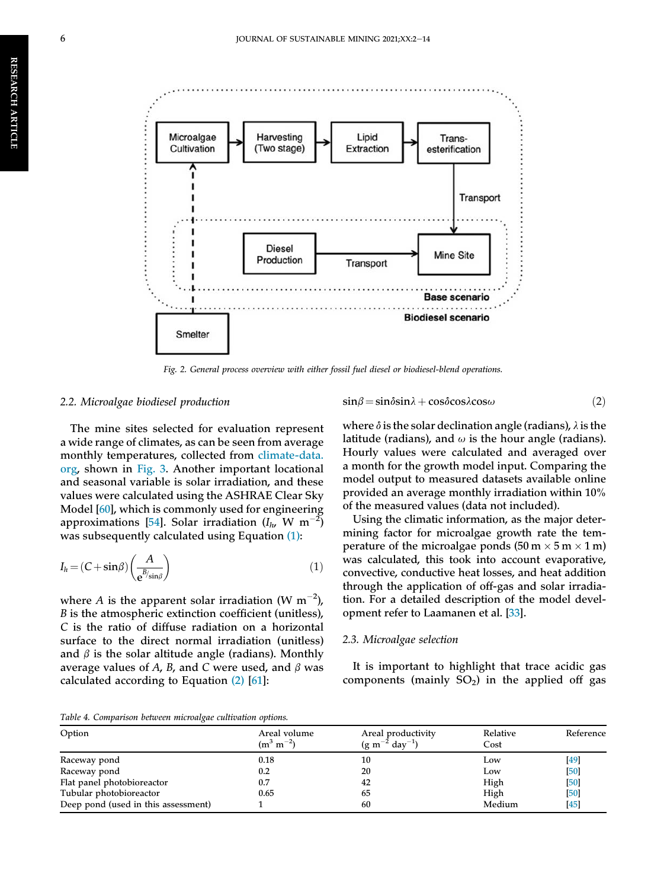<span id="page-6-0"></span>

Fig. 2. General process overview with either fossil fuel diesel or biodiesel-blend operations.

#### 2.2. Microalgae biodiesel production

The mine sites selected for evaluation represent a wide range of climates, as can be seen from average monthly temperatures, collected from climate-data. org, shown in [Fig. 3](#page-7-0). Another important locational and seasonal variable is solar irradiation, and these values were calculated using the ASHRAE Clear Sky Model [[60\]](#page-13-0), which is commonly used for engineering approximations [[54\]](#page-13-0). Solar irradiation  $(I_{1\nu}$  W m<sup>-2</sup>) was subsequently calculated using Equation (1):

$$
I_h = (C + \sin\beta) \left(\frac{A}{e^{B/\sin\beta}}\right) \tag{1}
$$

where A is the apparent solar irradiation (W  $\mathrm{m}^{-2}$ ), B is the atmospheric extinction coefficient (unitless), C is the ratio of diffuse radiation on a horizontal surface to the direct normal irradiation (unitless) and  $\beta$  is the solar altitude angle (radians). Monthly average values of A, B, and C were used, and  $\beta$  was calculated according to Equation (2) [[61\]](#page-13-0):

 $\sin\beta = \sin\delta\sin\lambda + \cos\delta\cos\lambda\cos\omega$  (2)

where  $\delta$  is the solar declination angle (radians),  $\lambda$  is the latitude (radians), and  $\omega$  is the hour angle (radians). Hourly values were calculated and averaged over a month for the growth model input. Comparing the model output to measured datasets available online provided an average monthly irradiation within 10% of the measured values (data not included).

Using the climatic information, as the major determining factor for microalgae growth rate the temperature of the microalgae ponds  $(50 \text{ m} \times 5 \text{ m} \times 1 \text{ m})$ was calculated, this took into account evaporative, convective, conductive heat losses, and heat addition through the application of off-gas and solar irradiation. For a detailed description of the model development refer to Laamanen et al. [[33](#page-13-0)].

#### 2.3. Microalgae selection

It is important to highlight that trace acidic gas components (mainly  $SO_2$ ) in the applied off gas

Table 4. Comparison between microalgae cultivation options.

| . .<br>Option                       | Areal volume<br>$(m^3 m^{-2})$ | Areal productivity<br>$(g m^{-2} day^{-1})$ | Relative<br>Cost | Reference |
|-------------------------------------|--------------------------------|---------------------------------------------|------------------|-----------|
| Raceway pond                        | 0.18                           | 10                                          | Low              | [49]      |
| Raceway pond                        | 0.2                            | 20                                          | Low              | $[50]$    |
| Flat panel photobioreactor          | 0.7                            | 42                                          | High             | $[50]$    |
| Tubular photobioreactor             | 0.65                           | 65                                          | High             | [50]      |
| Deep pond (used in this assessment) |                                | 60                                          | Medium           | $[45]$    |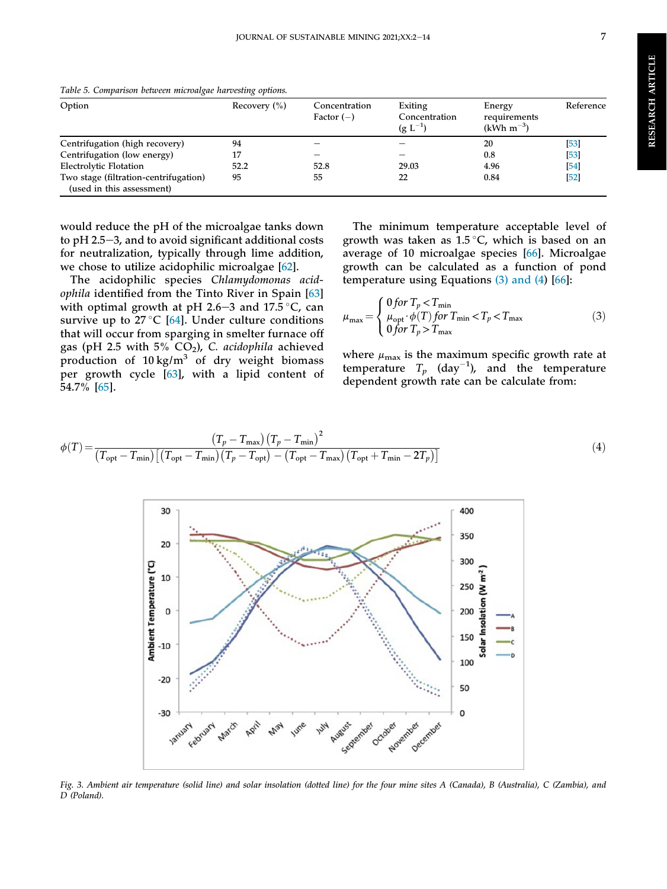| Option                                                             | Recovery $(\% )$ | Concentration<br>Factor $(-)$ | Exiting<br>Concentration<br>$(g L^{-1})$ | Energy<br>requirements<br>$(kWh m^{-3})$ | Reference |
|--------------------------------------------------------------------|------------------|-------------------------------|------------------------------------------|------------------------------------------|-----------|
| Centrifugation (high recovery)                                     | 94               |                               |                                          | 20                                       | $[53]$    |
| Centrifugation (low energy)                                        | 17               |                               |                                          | 0.8                                      | $[53]$    |
| Electrolytic Flotation                                             | 52.2             | 52.8                          | 29.03                                    | 4.96                                     | [54]      |
| Two stage (filtration-centrifugation)<br>(used in this assessment) | 95               | 55                            | 22                                       | 0.84                                     | $[52]$    |

<span id="page-7-0"></span>Table 5. Comparison between microalgae harvesting options.

would reduce the pH of the microalgae tanks down to  $pH$  2.5–3, and to avoid significant additional costs for neutralization, typically through lime addition, we chose to utilize acidophilic microalgae [\[62](#page-13-0)].

The acidophilic species Chlamydomonas acidophila identified from the Tinto River in Spain [[63\]](#page-13-0) with optimal growth at pH 2.6–3 and 17.5 °C, can survive up to 27 °C [\[64](#page-13-0)]. Under culture conditions that will occur from sparging in smelter furnace off gas (pH 2.5 with 5%  $CO<sub>2</sub>$ ), C. acidophila achieved production of  $10 \text{ kg/m}^3$  of dry weight biomass per growth cycle [[63](#page-13-0)], with a lipid content of 54.7% [[65\]](#page-13-0).

The minimum temperature acceptable level of growth was taken as  $1.5\textdegree C$ , which is based on an average of 10 microalgae species [\[66](#page-13-0)]. Microalgae growth can be calculated as a function of pond temperature using Equations (3) and (4) [[66\]](#page-13-0):

$$
\mu_{\max} = \begin{cases} 0 \text{ for } T_p < T_{\min} \\ \mu_{\text{opt}} \cdot \phi(T) \text{ for } T_{\min} < T_p < T_{\max} \\ 0 \text{ for } T_p > T_{\max} \end{cases} \tag{3}
$$

where  $\mu_{\text{max}}$  is the maximum specific growth rate at temperature  $T_p$  (day<sup>-1</sup>), and the temperature dependent growth rate can be calculate from:

$$
\phi(T) = \frac{\left(T_p - T_{\text{max}}\right)\left(T_p - T_{\text{min}}\right)^2}{\left(T_{\text{opt}} - T_{\text{min}}\right)\left[\left(T_{\text{opt}} - T_{\text{min}}\right)\left(T_p - T_{\text{opt}}\right) - \left(T_{\text{opt}} - T_{\text{max}}\right)\left(T_{\text{opt}} + T_{\text{min}} - 2T_p\right)\right]}
$$
\n(4)



Fig. 3. Ambient air temperature (solid line) and solar insolation (dotted line) for the four mine sites A (Canada), B (Australia), C (Zambia), and D (Poland).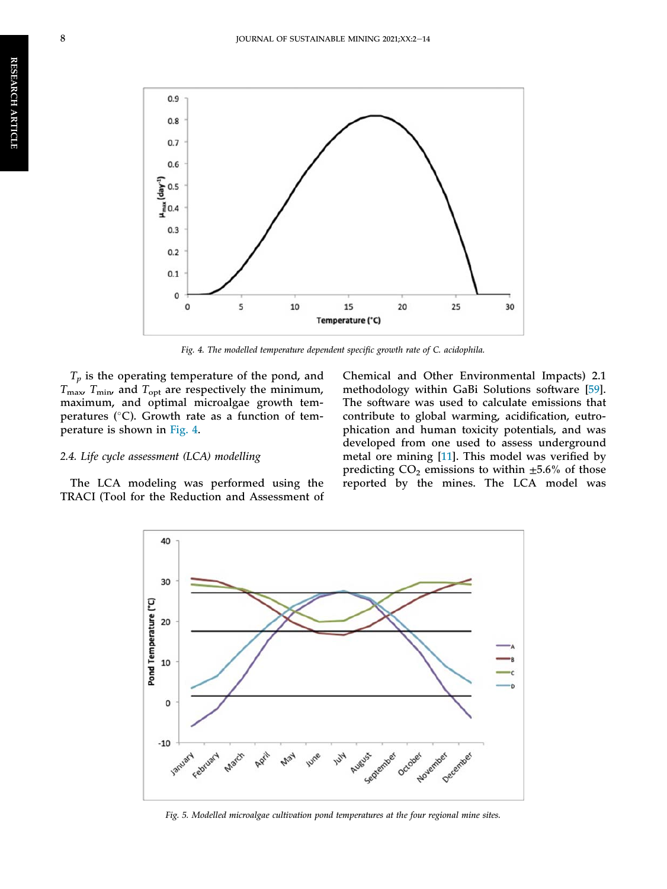<span id="page-8-0"></span>

Fig. 4. The modelled temperature dependent specific growth rate of C. acidophila.

 $T_p$  is the operating temperature of the pond, and  $T_{\text{max}}$ ,  $T_{\text{min}}$ , and  $T_{\text{opt}}$  are respectively the minimum, maximum, and optimal microalgae growth temperatures ( $^{\circ}$ C). Growth rate as a function of temperature is shown in Fig. 4.

#### 2.4. Life cycle assessment (LCA) modelling

The LCA modeling was performed using the TRACI (Tool for the Reduction and Assessment of Chemical and Other Environmental Impacts) 2.1 methodology within GaBi Solutions software [[59\]](#page-13-0). The software was used to calculate emissions that contribute to global warming, acidification, eutrophication and human toxicity potentials, and was developed from one used to assess underground metal ore mining [\[11](#page-12-0)]. This model was verified by predicting  $CO<sub>2</sub>$  emissions to within  $\pm 5.6\%$  of those reported by the mines. The LCA model was



Fig. 5. Modelled microalgae cultivation pond temperatures at the four regional mine sites.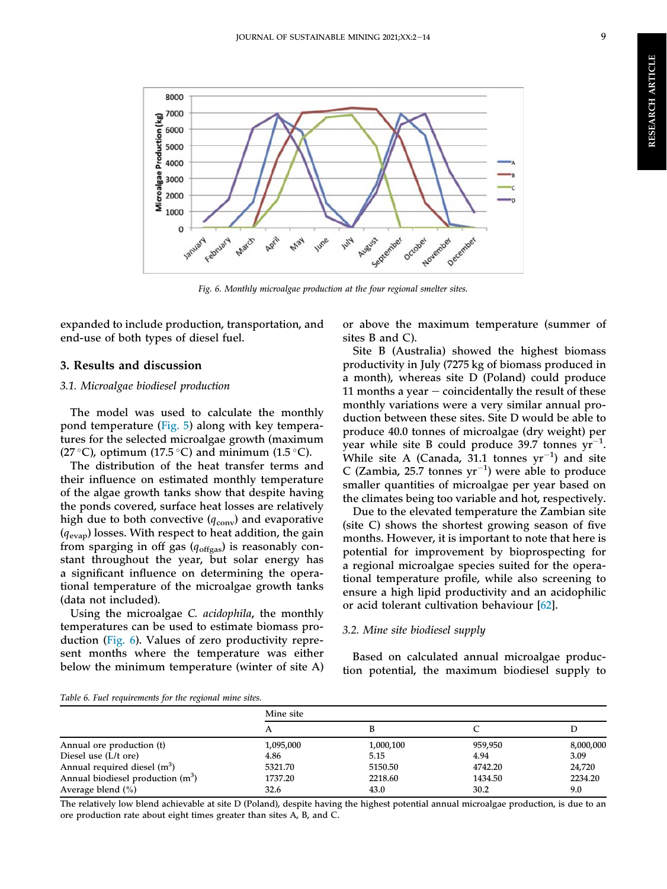<span id="page-9-0"></span>

Fig. 6. Monthly microalgae production at the four regional smelter sites.

expanded to include production, transportation, and end-use of both types of diesel fuel.

#### 3. Results and discussion

#### 3.1. Microalgae biodiesel production

The model was used to calculate the monthly pond temperature ([Fig. 5\)](#page-8-0) along with key temperatures for the selected microalgae growth (maximum (27 °C), optimum (17.5 °C) and minimum (1.5 °C).

The distribution of the heat transfer terms and their influence on estimated monthly temperature of the algae growth tanks show that despite having the ponds covered, surface heat losses are relatively high due to both convective  $(q_{\text{conv}})$  and evaporative  $(q_{evap})$  losses. With respect to heat addition, the gain from sparging in off gas  $(q_{\text{offgas}})$  is reasonably constant throughout the year, but solar energy has a significant influence on determining the operational temperature of the microalgae growth tanks (data not included).

Using the microalgae C. acidophila, the monthly temperatures can be used to estimate biomass production (Fig. 6). Values of zero productivity represent months where the temperature was either below the minimum temperature (winter of site A) or above the maximum temperature (summer of sites B and C).

Site B (Australia) showed the highest biomass productivity in July (7275 kg of biomass produced in a month), whereas site D (Poland) could produce 11 months a year  $-$  coincidentally the result of these monthly variations were a very similar annual production between these sites. Site D would be able to produce 40.0 tonnes of microalgae (dry weight) per year while site B could produce 39.7 tonnes  $yr^{-1}$ . While site A (Canada,  $31.1$  tonnes  $yr^{-1}$ ) and site C (Zambia, 25.7 tonnes  $yr^{-1}$ ) were able to produce smaller quantities of microalgae per year based on the climates being too variable and hot, respectively.

Due to the elevated temperature the Zambian site (site C) shows the shortest growing season of five months. However, it is important to note that here is potential for improvement by bioprospecting for a regional microalgae species suited for the operational temperature profile, while also screening to ensure a high lipid productivity and an acidophilic or acid tolerant cultivation behaviour [[62\]](#page-13-0).

#### 3.2. Mine site biodiesel supply

Based on calculated annual microalgae production potential, the maximum biodiesel supply to

Table 6. Fuel requirements for the regional mine sites.

| Mine site |           |         |           |  |  |  |  |  |
|-----------|-----------|---------|-----------|--|--|--|--|--|
| A         |           |         |           |  |  |  |  |  |
| 1,095,000 | 1,000,100 | 959,950 | 8,000,000 |  |  |  |  |  |
| 4.86      | 5.15      | 4.94    | 3.09      |  |  |  |  |  |
| 5321.70   | 5150.50   | 4742.20 | 24,720    |  |  |  |  |  |
| 1737.20   | 2218.60   | 1434.50 | 2234.20   |  |  |  |  |  |
| 32.6      | 43.0      | 30.2    | 9.0       |  |  |  |  |  |
|           |           |         |           |  |  |  |  |  |

The relatively low blend achievable at site D (Poland), despite having the highest potential annual microalgae production, is due to an ore production rate about eight times greater than sites A, B, and C.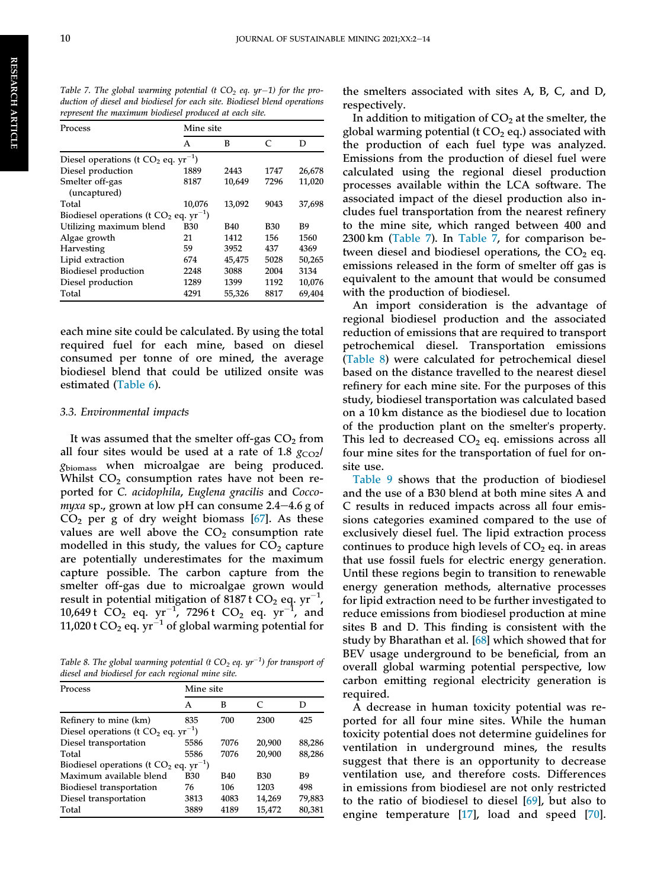Table 7. The global warming potential (t  $CO<sub>2</sub>$  eq.  $yr-1$ ) for the production of diesel and biodiesel for each site. Biodiesel blend operations represent the maximum biodiesel produced at each site.

| Process                                           | Mine site  |        |            |        |  |
|---------------------------------------------------|------------|--------|------------|--------|--|
|                                                   | A          | B      | $\subset$  | D      |  |
| Diesel operations (t $CO2$ eq. yr <sup>-1</sup> ) |            |        |            |        |  |
| Diesel production                                 | 1889       | 2443   | 1747       | 26,678 |  |
| Smelter off-gas                                   | 8187       | 10,649 | 7296       | 11,020 |  |
| (uncaptured)                                      |            |        |            |        |  |
| Total                                             | 10,076     | 13,092 | 9043       | 37,698 |  |
| Biodiesel operations ( $t CO2$ eq. $yr^{-1}$ )    |            |        |            |        |  |
| Utilizing maximum blend                           | <b>B30</b> | B40    | <b>B30</b> | B9     |  |
| Algae growth                                      | 21         | 1412   | 156        | 1560   |  |
| Harvesting                                        | 59         | 3952   | 437        | 4369   |  |
| Lipid extraction                                  | 674        | 45,475 | 5028       | 50,265 |  |
| <b>Biodiesel production</b>                       | 2248       | 3088   | 2004       | 3134   |  |
| Diesel production                                 | 1289       | 1399   | 1192       | 10,076 |  |
| Total                                             | 4291       | 55,326 | 8817       | 69,404 |  |

each mine site could be calculated. By using the total required fuel for each mine, based on diesel consumed per tonne of ore mined, the average biodiesel blend that could be utilized onsite was estimated [\(Table 6\)](#page-9-0).

#### 3.3. Environmental impacts

It was assumed that the smelter off-gas  $CO<sub>2</sub>$  from all four sites would be used at a rate of 1.8  $g_{CO2}/$ gbiomass when microalgae are being produced. Whilst  $CO<sub>2</sub>$  consumption rates have not been reported for C. acidophila, Euglena gracilis and Cocco*myxa* sp., grown at low pH can consume  $2.4-4.6$  g of  $CO<sub>2</sub>$  per g of dry weight biomass [[67\]](#page-13-0). As these values are well above the  $CO<sub>2</sub>$  consumption rate modelled in this study, the values for  $CO<sub>2</sub>$  capture are potentially underestimates for the maximum capture possible. The carbon capture from the smelter off-gas due to microalgae grown would result in potential mitigation of 8187 t  $CO<sub>2</sub>$  eq. yr<sup>-1</sup>, 10,649 t  $CO_2$  eq. yr<sup>-1</sup>, 7296 t  $CO_2$  eq. yr<sup>-1</sup>, and 11,020 t  $CO<sub>2</sub>$  eq. yr<sup>-1</sup> of global warming potential for

Table 8. The global warming potential (t CO<sub>2</sub> eq. yr $^{-1}$ ) for transport of diesel and biodiesel for each regional mine site.

| Process                                           | Mine site  |            |            |        |  |  |
|---------------------------------------------------|------------|------------|------------|--------|--|--|
|                                                   | A          | B          | C          | D      |  |  |
| Refinery to mine (km)                             | 835        | 700        | 2300       | 425    |  |  |
| Diesel operations (t $CO2$ eq. yr <sup>-1</sup> ) |            |            |            |        |  |  |
| Diesel transportation                             | 5586       | 7076       | 20,900     | 88,286 |  |  |
| Total                                             | 5586       | 7076       | 20,900     | 88,286 |  |  |
| Biodiesel operations ( $t CO2$ eq. $yr^{-1}$ )    |            |            |            |        |  |  |
| Maximum available blend                           | <b>B30</b> | <b>B40</b> | <b>B30</b> | B9     |  |  |
| Biodiesel transportation                          | 76         | 106        | 1203       | 498    |  |  |
| Diesel transportation                             | 3813       | 4083       | 14,269     | 79,883 |  |  |
| Total                                             | 3889       | 4189       | 15,472     | 80,381 |  |  |

the smelters associated with sites A, B, C, and D, respectively.

In addition to mitigation of  $CO<sub>2</sub>$  at the smelter, the global warming potential ( $t CO<sub>2</sub>$  eq.) associated with the production of each fuel type was analyzed. Emissions from the production of diesel fuel were calculated using the regional diesel production processes available within the LCA software. The associated impact of the diesel production also includes fuel transportation from the nearest refinery to the mine site, which ranged between 400 and 2300 km (Table 7). In Table 7, for comparison between diesel and biodiesel operations, the  $CO<sub>2</sub>$  eq. emissions released in the form of smelter off gas is equivalent to the amount that would be consumed with the production of biodiesel.

An import consideration is the advantage of regional biodiesel production and the associated reduction of emissions that are required to transport petrochemical diesel. Transportation emissions (Table 8) were calculated for petrochemical diesel based on the distance travelled to the nearest diesel refinery for each mine site. For the purposes of this study, biodiesel transportation was calculated based on a 10 km distance as the biodiesel due to location of the production plant on the smelter's property. This led to decreased  $CO<sub>2</sub>$  eq. emissions across all four mine sites for the transportation of fuel for onsite use.

[Table 9](#page-11-0) shows that the production of biodiesel and the use of a B30 blend at both mine sites A and C results in reduced impacts across all four emissions categories examined compared to the use of exclusively diesel fuel. The lipid extraction process continues to produce high levels of  $CO<sub>2</sub>$  eq. in areas that use fossil fuels for electric energy generation. Until these regions begin to transition to renewable energy generation methods, alternative processes for lipid extraction need to be further investigated to reduce emissions from biodiesel production at mine sites B and D. This finding is consistent with the study by Bharathan et al. [[68\]](#page-13-0) which showed that for BEV usage underground to be beneficial, from an overall global warming potential perspective, low carbon emitting regional electricity generation is required.

A decrease in human toxicity potential was reported for all four mine sites. While the human toxicity potential does not determine guidelines for ventilation in underground mines, the results suggest that there is an opportunity to decrease ventilation use, and therefore costs. Differences in emissions from biodiesel are not only restricted to the ratio of biodiesel to diesel [\[69](#page-14-0)], but also to engine temperature [\[17\]](#page-12-0), load and speed [\[70\]](#page-14-0).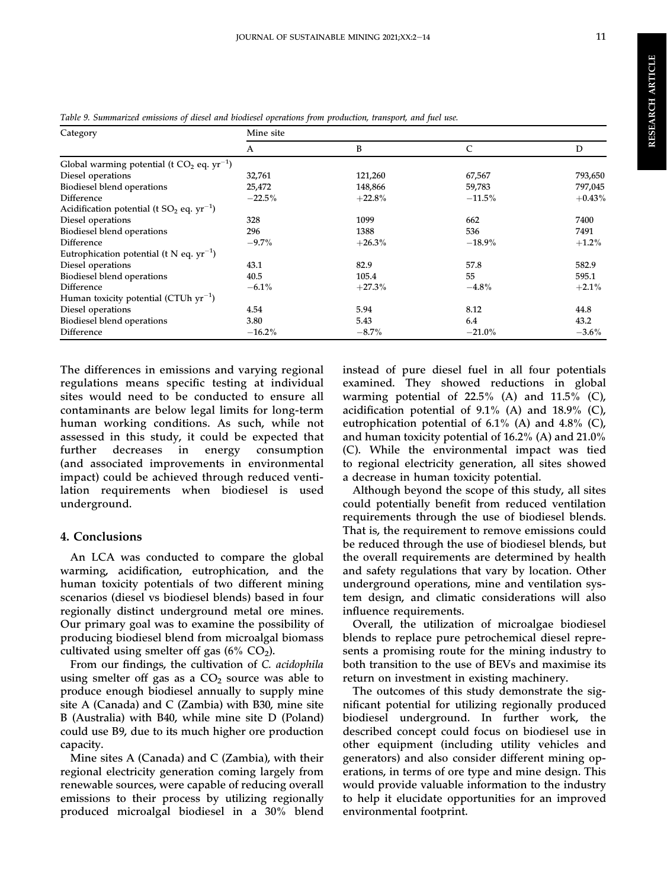| Category                                                 | Mine site |           |           |          |  |  |  |
|----------------------------------------------------------|-----------|-----------|-----------|----------|--|--|--|
|                                                          | A         | B         | C         | D        |  |  |  |
| Global warming potential (t $CO2$ eq. yr <sup>-1</sup> ) |           |           |           |          |  |  |  |
| Diesel operations                                        | 32,761    | 121,260   | 67,567    | 793,650  |  |  |  |
| Biodiesel blend operations                               | 25,472    | 148,866   | 59,783    | 797,045  |  |  |  |
| Difference                                               | $-22.5%$  | $+22.8%$  | $-11.5\%$ | $+0.43%$ |  |  |  |
| Acidification potential (t $SO_2$ eq. $yr^{-1}$ )        |           |           |           |          |  |  |  |
| Diesel operations                                        | 328       | 1099      | 662       | 7400     |  |  |  |
| Biodiesel blend operations                               | 296       | 1388      | 536       | 7491     |  |  |  |
| Difference                                               | $-9.7\%$  | $+26.3\%$ | $-18.9\%$ | $+1.2\%$ |  |  |  |
| Eutrophication potential (t N eq. $yr^{-1}$ )            |           |           |           |          |  |  |  |
| Diesel operations                                        | 43.1      | 82.9      | 57.8      | 582.9    |  |  |  |
| <b>Biodiesel blend operations</b>                        | 40.5      | 105.4     | 55        | 595.1    |  |  |  |
| Difference                                               | $-6.1\%$  | $+27.3\%$ | $-4.8\%$  | $+2.1%$  |  |  |  |
| Human toxicity potential (CTUh $yr^{-1}$ )               |           |           |           |          |  |  |  |
| Diesel operations                                        | 4.54      | 5.94      | 8.12      | 44.8     |  |  |  |
| Biodiesel blend operations                               | 3.80      | 5.43      | 6.4       | 43.2     |  |  |  |
| Difference                                               | $-16.2\%$ | $-8.7\%$  | $-21.0\%$ | $-3.6\%$ |  |  |  |

<span id="page-11-0"></span>Table 9. Summarized emissions of diesel and biodiesel operations from production, transport, and fuel use.

The differences in emissions and varying regional regulations means specific testing at individual sites would need to be conducted to ensure all contaminants are below legal limits for long-term human working conditions. As such, while not assessed in this study, it could be expected that further decreases in energy consumption (and associated improvements in environmental impact) could be achieved through reduced ventilation requirements when biodiesel is used underground.

#### 4. Conclusions

An LCA was conducted to compare the global warming, acidification, eutrophication, and the human toxicity potentials of two different mining scenarios (diesel vs biodiesel blends) based in four regionally distinct underground metal ore mines. Our primary goal was to examine the possibility of producing biodiesel blend from microalgal biomass cultivated using smelter off gas  $(6\%$  CO<sub>2</sub>).

From our findings, the cultivation of C. acidophila using smelter off gas as a  $CO<sub>2</sub>$  source was able to produce enough biodiesel annually to supply mine site A (Canada) and C (Zambia) with B30, mine site B (Australia) with B40, while mine site D (Poland) could use B9, due to its much higher ore production capacity.

Mine sites A (Canada) and C (Zambia), with their regional electricity generation coming largely from renewable sources, were capable of reducing overall emissions to their process by utilizing regionally produced microalgal biodiesel in a 30% blend

instead of pure diesel fuel in all four potentials examined. They showed reductions in global warming potential of 22.5% (A) and 11.5% (C), acidification potential of  $9.1\%$  (A) and  $18.9\%$  (C), eutrophication potential of 6.1% (A) and 4.8% (C), and human toxicity potential of 16.2% (A) and 21.0% (C). While the environmental impact was tied to regional electricity generation, all sites showed a decrease in human toxicity potential.

Although beyond the scope of this study, all sites could potentially benefit from reduced ventilation requirements through the use of biodiesel blends. That is, the requirement to remove emissions could be reduced through the use of biodiesel blends, but the overall requirements are determined by health and safety regulations that vary by location. Other underground operations, mine and ventilation system design, and climatic considerations will also influence requirements.

Overall, the utilization of microalgae biodiesel blends to replace pure petrochemical diesel represents a promising route for the mining industry to both transition to the use of BEVs and maximise its return on investment in existing machinery.

The outcomes of this study demonstrate the significant potential for utilizing regionally produced biodiesel underground. In further work, the described concept could focus on biodiesel use in other equipment (including utility vehicles and generators) and also consider different mining operations, in terms of ore type and mine design. This would provide valuable information to the industry to help it elucidate opportunities for an improved environmental footprint.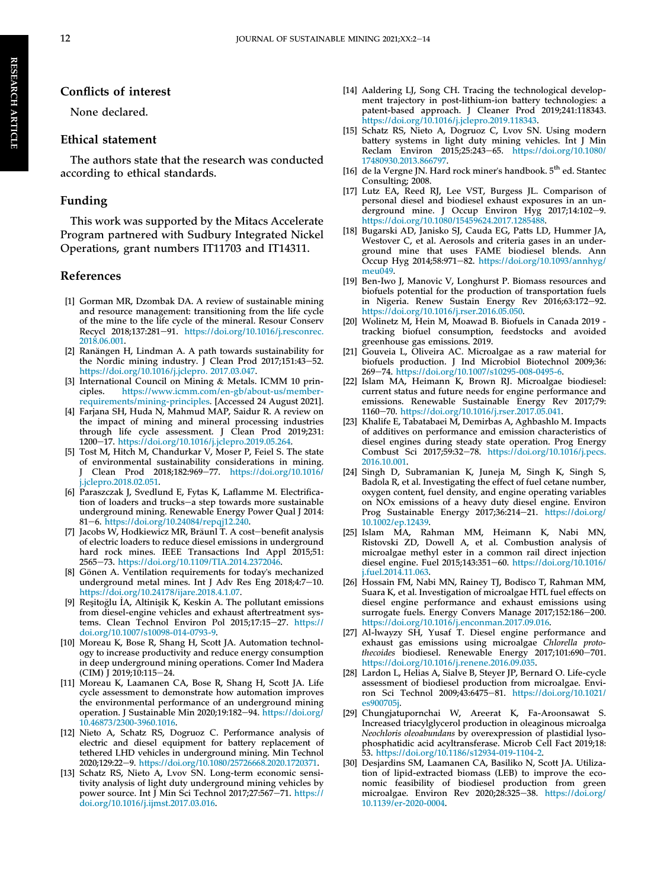#### <span id="page-12-0"></span>Conflicts of interest

None declared.

#### Ethical statement

The authors state that the research was conducted according to ethical standards.

#### Funding

This work was supported by the Mitacs Accelerate Program partnered with Sudbury Integrated Nickel Operations, grant numbers IT11703 and IT14311.

#### References

- [1] Gorman MR, Dzombak DA. A review of sustainable mining and resource management: transitioning from the life cycle of the mine to the life cycle of the mineral. Resour Conserv Recycl 2018;137:281-91. https://doi.org/10.1016/j.resconrec. 2018.06.001.
- [2] Ranängen H, Lindman A. A path towards sustainability for the Nordic mining industry. J Clean Prod  $2017;151:43-52$ . https://doi.org/10.1016/j.jclepro. 2017.03.047.
- [3] International Council on Mining & Metals. ICMM 10 principles. https://www.icmm.com/en-gb/about-us/memberrequirements/mining-principles. [Accessed 24 August 2021].
- [4] Farjana SH, Huda N, Mahmud MAP, Saidur R. A review on the impact of mining and mineral processing industries through life cycle assessment. J Clean Prod 2019;231: 1200-17. https://doi.org/10.1016/j.jclepro.2019.05.264.
- [5] Tost M, Hitch M, Chandurkar V, Moser P, Feiel S. The state of environmental sustainability considerations in mining. J Clean Prod 2018;182:969-77. https://doi.org/10.1016/ j.jclepro.2018.02.051.
- [6] Paraszczak J, Svedlund E, Fytas K, Laflamme M. Electrification of loaders and trucks-a step towards more sustainable underground mining. Renewable Energy Power Qual J 2014: 81-6. https://doi.org/10.24084/repqj12.240.
- [7] Jacobs W, Hodkiewicz MR, Bräunl T. A cost-benefit analysis of electric loaders to reduce diesel emissions in underground hard rock mines. IEEE Transactions Ind Appl 2015;51: 2565e73. https://doi.org/10.1109/TIA.2014.2372046.
- [8] Gönen A. Ventilation requirements for today's mechanized underground metal mines. Int J Adv Res Eng  $2018;4:7-10$ . https://doi.org/10.24178/ijare.2018.4.1.07.
- [9] Reşitoğlu İA, Altinişik K, Keskin A. The pollutant emissions from diesel-engine vehicles and exhaust aftertreatment systems. Clean Technol Environ Pol 2015;17:15-27. https:// doi.org/10.1007/s10098-014-0793-9.
- [10] Moreau K, Bose R, Shang H, Scott JA. Automation technology to increase productivity and reduce energy consumption in deep underground mining operations. Comer Ind Madera  $(CIM)$   $\overline{)12019;10:115-24.$
- [11] Moreau K, Laamanen CA, Bose R, Shang H, Scott JA. Life cycle assessment to demonstrate how automation improves the environmental performance of an underground mining operation. J Sustainable Min 2020;19:182-94. https://doi.org/ 10.46873/2300-3960.1016.
- [12] Nieto A, Schatz RS, Dogruoz C. Performance analysis of electric and diesel equipment for battery replacement of tethered LHD vehicles in underground mining. Min Technol 2020;129:22-9. https://doi.org/10.1080/25726668.2020.1720371.
- [13] Schatz RS, Nieto A, Lvov SN. Long-term economic sensitivity analysis of light duty underground mining vehicles by power source. Int J Min Sci Technol 2017;27:567-71. https:// doi.org/10.1016/j.ijmst.2017.03.016.
- [14] Aaldering LJ, Song CH. Tracing the technological development trajectory in post-lithium-ion battery technologies: a patent-based approach. J Cleaner Prod 2019;241:118343. https://doi.org/10.1016/j.jclepro.2019.118343.
- [15] Schatz RS, Nieto A, Dogruoz C, Lvov SN. Using modern battery systems in light duty mining vehicles. Int J Min Reclam Environ 2015;25:243-65. https://doi.org/10.1080/ 17480930.2013.866797.
- [16] de la Vergne JN. Hard rock miner's handbook. 5<sup>th</sup> ed. Stantec Consulting; 2008.
- [17] Lutz EA, Reed RJ, Lee VST, Burgess JL. Comparison of personal diesel and biodiesel exhaust exposures in an underground mine. J Occup Environ Hyg 2017;14:102-9. https://doi.org/10.1080/15459624.2017.1285488.
- [18] Bugarski AD, Janisko SJ, Cauda EG, Patts LD, Hummer JA, Westover C, et al. Aerosols and criteria gases in an underground mine that uses FAME biodiesel blends. Ann Occup Hyg 2014;58:971-82. https://doi.org/10.1093/annhyg/ meu049.
- [19] Ben-Iwo J, Manovic V, Longhurst P. Biomass resources and biofuels potential for the production of transportation fuels in Nigeria. Renew Sustain Energy Rev 2016;63:172-92. https://doi.org/10.1016/j.rser.2016.05.050.
- [20] Wolinetz M, Hein M, Moawad B. Biofuels in Canada 2019 tracking biofuel consumption, feedstocks and avoided greenhouse gas emissions. 2019.
- [21] Gouveia L, Oliveira AC. Microalgae as a raw material for biofuels production. J Ind Microbiol Biotechnol 2009;36: 269-74. https://doi.org/10.1007/s10295-008-0495-6.
- [22] Islam MA, Heimann K, Brown RJ. Microalgae biodiesel: current status and future needs for engine performance and emissions. Renewable Sustainable Energy Rev 2017;79: 1160-70. https://doi.org/10.1016/j.rser.2017.05.041.
- [23] Khalife E, Tabatabaei M, Demirbas A, Aghbashlo M. Impacts of additives on performance and emission characteristics of diesel engines during steady state operation. Prog Energy Combust Sci 2017;59:32-78. https://doi.org/10.1016/j.pecs. 2016.10.001.
- [24] Singh D, Subramanian K, Juneja M, Singh K, Singh S, Badola R, et al. Investigating the effect of fuel cetane number, oxygen content, fuel density, and engine operating variables on NOx emissions of a heavy duty diesel engine. Environ Prog Sustainable Energy 2017;36:214-21. https://doi.org/ 10.1002/ep.12439.
- [25] Islam MA, Rahman MM, Heimann K, Nabi MN, Ristovski ZD, Dowell A, et al. Combustion analysis of microalgae methyl ester in a common rail direct injection diesel engine. Fuel 2015;143:351-60. https://doi.org/10.1016/ j.fuel.2014.11.063.
- [26] Hossain FM, Nabi MN, Rainey TJ, Bodisco T, Rahman MM, Suara K, et al. Investigation of microalgae HTL fuel effects on diesel engine performance and exhaust emissions using surrogate fuels. Energy Convers Manage 2017;152:186-200. https://doi.org/10.1016/j.enconman.2017.09.016.
- [27] Al-lwayzy SH, Yusaf T. Diesel engine performance and exhaust gas emissions using microalgae Chlorella protothecoides biodiesel. Renewable Energy 2017;101:690-701. https://doi.org/10.1016/j.renene.2016.09.035.
- [28] Lardon L, Helias A, Sialve B, Steyer JP, Bernard O. Life-cycle assessment of biodiesel production from microalgae. Environ Sci Technol 2009;43:6475-81. https://doi.org/10.1021/ es900705j.
- [29] Chungjatupornchai W, Areerat K, Fa-Aroonsawat S. Increased triacylglycerol production in oleaginous microalga Neochloris oleoabundans by overexpression of plastidial lysophosphatidic acid acyltransferase. Microb Cell Fact 2019;18: 53. https://doi.org/10.1186/s12934-019-1104-2.
- [30] Desjardins SM, Laamanen CA, Basiliko N, Scott JA. Utilization of lipid-extracted biomass (LEB) to improve the economic feasibility of biodiesel production from green microalgae. Environ Rev 2020;28:325-38. https://doi.org/ 10.1139/er-2020-0004.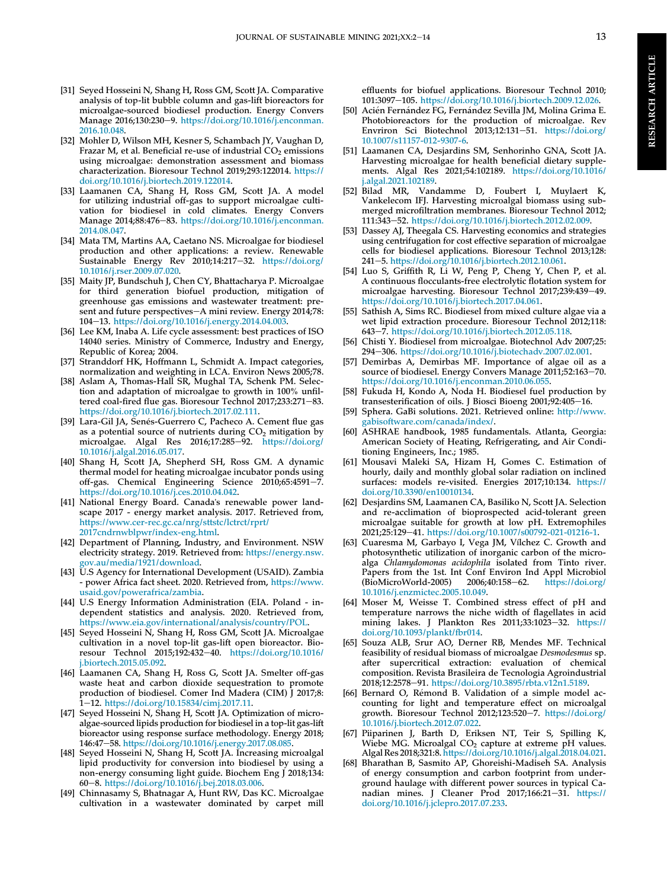- <span id="page-13-0"></span>[31] Seyed Hosseini N, Shang H, Ross GM, Scott JA. Comparative analysis of top-lit bubble column and gas-lift bioreactors for microalgae-sourced biodiesel production. Energy Convers Manage 2016;130:230-9. https://doi.org/10.1016/j.enconman. 2016.10.048.
- [32] Mohler D, Wilson MH, Kesner S, Schambach JY, Vaughan D, Frazar M, et al. Beneficial re-use of industrial  $CO<sub>2</sub>$  emissions using microalgae: demonstration assessment and biomass characterization. Bioresour Technol 2019;293:122014. https:// doi.org/10.1016/j.biortech.2019.122014.
- [33] Laamanen CA, Shang H, Ross GM, Scott JA. A model for utilizing industrial off-gas to support microalgae cultivation for biodiesel in cold climates. Energy Convers Manage 2014;88:476-83. https://doi.org/10.1016/j.enconman. 2014.08.047.
- [34] Mata TM, Martins AA, Caetano NS. Microalgae for biodiesel production and other applications: a review. Renewable Sustainable Energy Rev 2010;14:217-32. https://doi.org/ 10.1016/j.rser.2009.07.020.
- [35] Maity JP, Bundschuh J, Chen CY, Bhattacharya P. Microalgae for third generation biofuel production, mitigation of greenhouse gas emissions and wastewater treatment: present and future perspectives-A mini review. Energy  $2014:78$ : 104e13. https://doi.org/10.1016/j.energy.2014.04.003.
- [36] Lee KM, Inaba A. Life cycle assessment: best practices of ISO 14040 series. Ministry of Commerce, Industry and Energy, Republic of Korea; 2004.
- [37] Stranddorf HK, Hoffmann L, Schmidt A. Impact categories, normalization and weighting in LCA. Environ News 2005;78.
- [38] Aslam A, Thomas-Hall SR, Mughal TA, Schenk PM. Selection and adaptation of microalgae to growth in 100% unfiltered coal-fired flue gas. Bioresour Technol 2017;233:271-83. https://doi.org/10.1016/j.biortech.2017.02.111.
- [39] Lara-Gil JA, Senés-Guerrero C, Pacheco A. Cement flue gas as a potential source of nutrients during  $CO<sub>2</sub>$  mitigation by microalgae. Algal Res 2016;17:285-92. https://doi.org/ 10.1016/j.algal.2016.05.017.
- [40] Shang H, Scott JA, Shepherd SH, Ross GM. A dynamic thermal model for heating microalgae incubator ponds using off-gas. Chemical Engineering Science 2010;65:4591-7. https://doi.org/10.1016/j.ces.2010.04.042.
- [41] National Energy Board. Canada's renewable power landscape 2017 - energy market analysis. 2017. Retrieved from, https://www.cer-rec.gc.ca/nrg/sttstc/lctrct/rprt/ 2017cndrnwblpwr/index-eng.html.
- [42] Department of Planning, Industry, and Environment. NSW electricity strategy. 2019. Retrieved from: https://energy.nsw. gov.au/media/1921/download.
- [43] U.S Agency for International Development (USAID). Zambia - power Africa fact sheet. 2020. Retrieved from, https://www. usaid.gov/powerafrica/zambia.
- [44] U.S Energy Information Administration (EIA. Poland independent statistics and analysis. 2020. Retrieved from, https://www.eia.gov/international/analysis/country/POL.
- [45] Seyed Hosseini N, Shang H, Ross GM, Scott JA. Microalgae cultivation in a novel top-lit gas-lift open bioreactor. Bioresour Technol 2015;192:432-40. https://doi.org/10.1016/ .biortech.2015.05.092.
- [46] Laamanen CA, Shang H, Ross G, Scott JA. Smelter off-gas waste heat and carbon dioxide sequestration to promote production of biodiesel. Comer Ind Madera (CIM) J 2017;8: 1e12. https://doi.org/10.15834/cimj.2017.11.
- [47] Seyed Hosseini N, Shang H, Scott JA. Optimization of microalgae-sourced lipids production for biodiesel in a top-lit gas-lift bioreactor using response surface methodology. Energy 2018; 146:47-58. https://doi.org/10.1016/j.energy.2017.08.085.
- [48] Seyed Hosseini N, Shang H, Scott JA. Increasing microalgal lipid productivity for conversion into biodiesel by using a non-energy consuming light guide. Biochem Eng J 2018;134: 60e8. https://doi.org/10.1016/j.bej.2018.03.006.
- [49] Chinnasamy S, Bhatnagar A, Hunt RW, Das KC. Microalgae cultivation in a wastewater dominated by carpet mill

effluents for biofuel applications. Bioresour Technol 2010; 101:3097-105. https://doi.org/10.1016/j.biortech.2009.12.026.

- [50] Acién Fernández FG, Fernández Sevilla JM, Molina Grima E. Photobioreactors for the production of microalgae. Rev Envriron Sci Biotechnol  $2013;12:131-51$ . https://doi.org/ 10.1007/s11157-012-9307-6.
- [51] Laamanen CA, Desjardins SM, Senhorinho GNA, Scott JA. Harvesting microalgae for health beneficial dietary supplements. Algal Res 2021;54:102189. https://doi.org/10.1016/ j.algal.2021.102189.
- [52] Bilad MR, Vandamme D, Foubert I, Muylaert K, Vankelecom IFJ. Harvesting microalgal biomass using submerged microfiltration membranes. Bioresour Technol 2012; 111:343-52. https://doi.org/10.1016/j.biortech.2012.02.009.
- [53] Dassey AJ, Theegala CS. Harvesting economics and strategies using centrifugation for cost effective separation of microalgae cells for biodiesel applications. Bioresour Technol 2013;128: 241-5. https://doi.org/10.1016/j.biortech.2012.10.061.
- [54] Luo S, Griffith R, Li W, Peng P, Cheng Y, Chen P, et al. A continuous flocculants-free electrolytic flotation system for microalgae harvesting. Bioresour Technol 2017;239:439-49. https://doi.org/10.1016/j.biortech.2017.04.061.
- [55] Sathish A, Sims RC. Biodiesel from mixed culture algae via a wet lipid extraction procedure. Bioresour Technol 2012;118: 643e7. https://doi.org/10.1016/j.biortech.2012.05.118.
- [56] Chisti Y. Biodiesel from microalgae. Biotechnol Adv 2007;25: 294-306. https://doi.org/10.1016/j.biotechadv.2007.02.001.
- [57] Demirbas A, Demirbas MF. Importance of algae oil as a source of biodiesel. Energy Convers Manage 2011;52:163-70. https://doi.org/10.1016/j.enconman.2010.06.055.
- [58] Fukuda H, Kondo A, Noda H. Biodiesel fuel production by transesterification of oils. J Biosci Bioeng  $2001,92:405-16$ .
- [59] Sphera. GaBi solutions. 2021. Retrieved online: http://www. gabisoftware.com/canada/index/.
- [60] ASHRAE handbook, 1985 fundamentals. Atlanta, Georgia: American Society of Heating, Refrigerating, and Air Conditioning Engineers, Inc.; 1985.
- [61] Mousavi Maleki SA, Hizam H, Gomes C. Estimation of hourly, daily and monthly global solar radiation on inclined surfaces: models re-visited. Energies 2017;10:134. https:// doi.org/10.3390/en10010134.
- [62] Desjardins SM, Laamanen CA, Basiliko N, Scott JA. Selection and re-acclimation of bioprospected acid-tolerant green microalgae suitable for growth at low pH. Extremophiles 2021;25:129-41. https://doi.org/10.1007/s00792-021-01216-1.
- [63] Cuaresma M, Garbayo I, Vega JM, Vílchez C. Growth and photosynthetic utilization of inorganic carbon of the microalga Chlamydomonas acidophila isolated from Tinto river. Papers from the 1st. Int Conf Environ Ind Appl Microbiol (BioMicroWorld-2005) 2006;40:158-62. https://doi.org/ 10.1016/j.enzmictec.2005.10.049.
- [64] Moser M, Weisse T. Combined stress effect of pH and temperature narrows the niche width of flagellates in acid mining lakes. J Plankton Res  $2011;33:1023-32$ . https:// doi.org/10.1093/plankt/fbr014.
- [65] Souza ALB, Srur AO, Derner RB, Mendes MF. Technical feasibility of residual biomass of microalgae Desmodesmus sp. after supercritical extraction: evaluation of chemical composition. Revista Brasileira de Tecnologia Agroindustrial 2018;12:2578-91. https://doi.org/10.3895/rbta.v12n1.5189.
- [66] Bernard O, Rémond B. Validation of a simple model accounting for light and temperature effect on microalgal growth. Bioresour Technol 2012;123:520-7. https://doi.org/ 10.1016/j.biortech.2012.07.022.
- [67] Piiparinen J, Barth D, Eriksen NT, Teir S, Spilling K, Wiebe MG. Microalgal  $CO<sub>2</sub>$  capture at extreme pH values. Algal Res 2018;321:8. https://doi.org/10.1016/j.algal.2018.04.021.
- [68] Bharathan B, Sasmito AP, Ghoreishi-Madiseh SA. Analysis of energy consumption and carbon footprint from underground haulage with different power sources in typical Canadian mines. J Cleaner Prod 2017;166:21-31. https:// doi.org/10.1016/j.jclepro.2017.07.233.